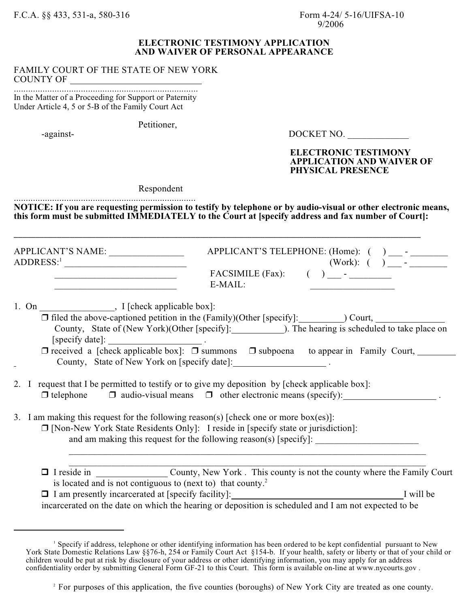F.C.A. §§ 433, 531-a, 580-316 Form 4-24/ 5-16/UIFSA-10

## **ELECTRONIC TESTIMONY APPLICATION AND WAIVER OF PERSONAL APPEARANCE**

## FAMILY COURT OF THE STATE OF NEW YORK COUNTY OF

............................................................................. In the Matter of a Proceeding for Support or Paternity Under Article 4, 5 or 5-B of the Family Court Act

Petitioner,  $-$ against-

DOCKET NO.

## **ELECTRONIC TESTIMONY APPLICATION AND WAIVER OF PHYSICAL PRESENCE**

Respondent

............................................................................ **NOTICE: If you are requesting permission to testify by telephone or by audio-visual or other electronic means, this form must be submitted IMMEDIATELY to the Court at [specify address and fax number of Court]:** 

**\_\_\_\_\_\_\_\_\_\_\_\_\_\_\_\_\_\_\_\_\_\_\_\_\_\_\_\_\_\_\_\_\_\_\_\_\_\_\_\_\_\_\_\_\_\_\_\_\_\_\_\_\_\_\_\_\_\_\_\_\_\_\_\_\_\_\_\_\_\_\_\_\_\_\_\_\_\_\_\_\_\_\_\_\_\_\_\_\_\_\_\_\_\_**

APPLICANT'S NAME: \_\_\_\_\_\_\_\_\_\_\_\_\_\_\_\_ APPLICANT'S TELEPHONE: (Home): ( ) \_\_\_ - \_\_\_\_\_\_\_\_ ADDRESS: \_\_\_\_\_\_\_\_\_\_\_\_\_\_\_\_\_\_\_\_\_\_\_\_\_\_ (Work): ( ) \_\_\_ - \_\_\_\_\_\_\_\_ 1  $\mathcal{L}_\text{max}$  for  $\mathcal{L}_\text{max}$  factors (Fax): ( )  $\mathcal{L}_\text{max}$ 

| FACSIMILE (Fax): | APPLICANT S TELEPHONE: (HON |
|------------------|-----------------------------|
|                  | (W <sub>01</sub> )          |
| E-MAIL:          | $\rightarrow$ $-$           |
|                  |                             |

1. On \_\_\_\_\_\_\_\_\_\_\_\_\_\_\_, I [check applicable box]:

\_\_\_\_\_\_\_\_\_\_\_\_\_\_\_\_\_\_\_\_\_\_\_\_\_\_ E-MAIL: \_\_\_\_\_\_\_\_\_\_\_\_\_\_\_\_\_\_

- $\Box$  filed the above-captioned petition in the (Family)(Other [specify]:  $\Box$  ) Court, County, State of (New York)(Other [specify]: 1. The hearing is scheduled to take place on  $[specify date]:$  .
	- $\Box$  received a [check applicable box]:  $\Box$  summons  $\Box$  subpoena to appear in Family Court, County, State of New York on [specify date]: .
- 2. I request that I be permitted to testify or to give my deposition by [check applicable box]:  $\Box$  telephone  $\Box$  audio-visual means  $\Box$  other electronic means (specify):
- 3. I am making this request for the following reason(s) [check one or more box(es)]:

 $\Box$  [Non-New York State Residents Only]: I reside in [specify state or jurisdiction]: and am making this request for the following reason(s)  $[specify]$ :

 $\mathcal{L}_\mathcal{L} = \mathcal{L}_\mathcal{L} = \mathcal{L}_\mathcal{L} = \mathcal{L}_\mathcal{L} = \mathcal{L}_\mathcal{L} = \mathcal{L}_\mathcal{L} = \mathcal{L}_\mathcal{L} = \mathcal{L}_\mathcal{L} = \mathcal{L}_\mathcal{L} = \mathcal{L}_\mathcal{L} = \mathcal{L}_\mathcal{L} = \mathcal{L}_\mathcal{L} = \mathcal{L}_\mathcal{L} = \mathcal{L}_\mathcal{L} = \mathcal{L}_\mathcal{L} = \mathcal{L}_\mathcal{L} = \mathcal{L}_\mathcal{L}$ □ I reside in \_\_\_\_\_\_\_\_\_\_\_\_\_\_\_\_\_\_\_\_\_\_County, New York . This county is not the county where the Family Court is located and is not contiguous to (next to) that county.<sup>2</sup> □ I am presently incarcerated at [specify facility]: I will be incarcerated on the date on which the hearing or deposition is scheduled and I am not expected to be

 $\mathcal{L}_\mathcal{L} = \{ \mathcal{L}_\mathcal{L} = \{ \mathcal{L}_\mathcal{L} = \{ \mathcal{L}_\mathcal{L} = \{ \mathcal{L}_\mathcal{L} = \{ \mathcal{L}_\mathcal{L} = \{ \mathcal{L}_\mathcal{L} = \{ \mathcal{L}_\mathcal{L} = \{ \mathcal{L}_\mathcal{L} = \{ \mathcal{L}_\mathcal{L} = \{ \mathcal{L}_\mathcal{L} = \{ \mathcal{L}_\mathcal{L} = \{ \mathcal{L}_\mathcal{L} = \{ \mathcal{L}_\mathcal{L} = \{ \mathcal{L}_\mathcal{$ 

<sup>&</sup>lt;sup>1</sup> Specify if address, telephone or other identifying information has been ordered to be kept confidential pursuant to New York State Domestic Relations Law §§76-h, 254 or Family Court Act §154-b. If your health, safety or liberty or that of your child or children would be put at risk by disclosure of your address or other identifying information, you may apply for an address confidentiality order by submitting General Form GF-21 to this Court. This form is available on-line at www.nycourts.gov .

<sup>&</sup>lt;sup>2</sup> For purposes of this application, the five counties (boroughs) of New York City are treated as one county.